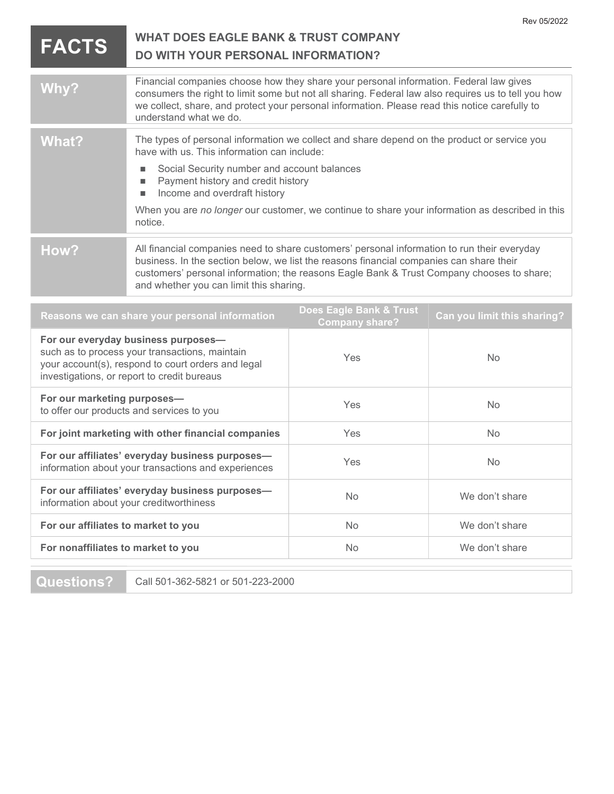|                                                                                                                                                                                            |                                                                                                                                                                                                                                                                                                                                |                                                  | Rev 05/2022                 |
|--------------------------------------------------------------------------------------------------------------------------------------------------------------------------------------------|--------------------------------------------------------------------------------------------------------------------------------------------------------------------------------------------------------------------------------------------------------------------------------------------------------------------------------|--------------------------------------------------|-----------------------------|
| <b>FACTS</b>                                                                                                                                                                               | <b>WHAT DOES EAGLE BANK &amp; TRUST COMPANY</b><br><b>DO WITH YOUR PERSONAL INFORMATION?</b>                                                                                                                                                                                                                                   |                                                  |                             |
| Why?                                                                                                                                                                                       | Financial companies choose how they share your personal information. Federal law gives<br>consumers the right to limit some but not all sharing. Federal law also requires us to tell you how<br>we collect, share, and protect your personal information. Please read this notice carefully to<br>understand what we do.      |                                                  |                             |
| <b>What?</b>                                                                                                                                                                               | The types of personal information we collect and share depend on the product or service you<br>have with us. This information can include:<br>Social Security number and account balances<br>п                                                                                                                                 |                                                  |                             |
|                                                                                                                                                                                            | Payment history and credit history<br>п<br>Income and overdraft history<br>п                                                                                                                                                                                                                                                   |                                                  |                             |
|                                                                                                                                                                                            | When you are no longer our customer, we continue to share your information as described in this<br>notice.                                                                                                                                                                                                                     |                                                  |                             |
| How?                                                                                                                                                                                       | All financial companies need to share customers' personal information to run their everyday<br>business. In the section below, we list the reasons financial companies can share their<br>customers' personal information; the reasons Eagle Bank & Trust Company chooses to share;<br>and whether you can limit this sharing. |                                                  |                             |
| Reasons we can share your personal information                                                                                                                                             |                                                                                                                                                                                                                                                                                                                                | Does Eagle Bank & Trust<br><b>Company share?</b> | Can you limit this sharing? |
| For our everyday business purposes-<br>such as to process your transactions, maintain<br>your account(s), respond to court orders and legal<br>investigations, or report to credit bureaus |                                                                                                                                                                                                                                                                                                                                | Yes                                              | <b>No</b>                   |
| For our marketing purposes-<br>to offer our products and services to you                                                                                                                   |                                                                                                                                                                                                                                                                                                                                | Yes                                              | No                          |
| For joint marketing with other financial companies                                                                                                                                         |                                                                                                                                                                                                                                                                                                                                | Yes                                              | <b>No</b>                   |
| For our affiliates' everyday business purposes-<br>information about your transactions and experiences                                                                                     |                                                                                                                                                                                                                                                                                                                                | Yes                                              | <b>No</b>                   |
|                                                                                                                                                                                            |                                                                                                                                                                                                                                                                                                                                |                                                  |                             |

For our affiliates' everyday business purposes— No We don't share<br>information about your creditworthiness

For our affiliates to market to you No No We don't share

For nonaffiliates to market to you No No We don't share

Questions? Call 501-362-5821 or 501-223-2000